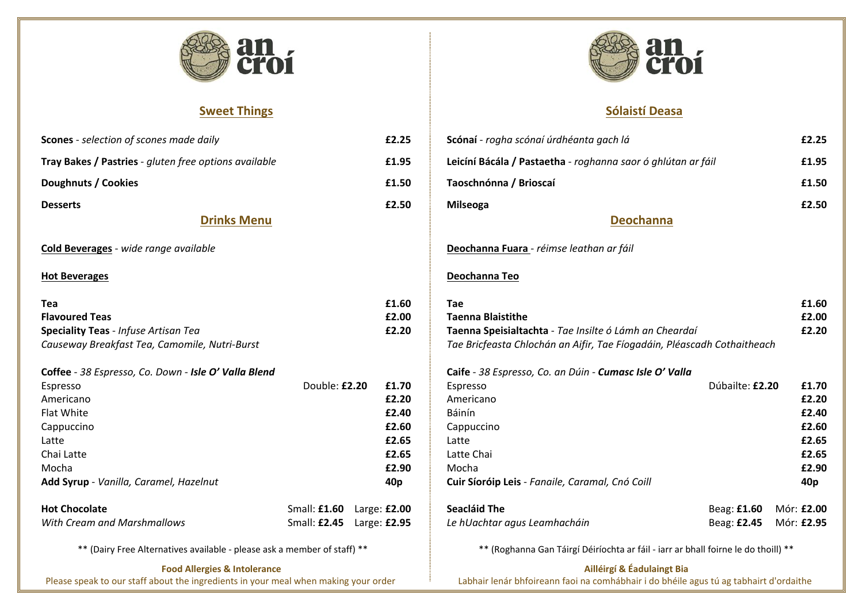

# **Sweet Things**

| <b>Scones</b> - selection of scones made daily        |                              | £2.25           |
|-------------------------------------------------------|------------------------------|-----------------|
| Tray Bakes / Pastries - gluten free options available |                              | £1.95           |
| Doughnuts / Cookies                                   |                              | £1.50           |
| <b>Desserts</b>                                       |                              | £2.50           |
| <b>Drinks Menu</b>                                    |                              |                 |
| <b>Cold Beverages</b> - wide range available          |                              |                 |
| <b>Hot Beverages</b>                                  |                              |                 |
|                                                       |                              |                 |
| Tea                                                   |                              | £1.60           |
| <b>Flavoured Teas</b>                                 |                              | £2.00           |
| <b>Speciality Teas - Infuse Artisan Tea</b>           |                              | £2.20           |
| Causeway Breakfast Tea, Camomile, Nutri-Burst         |                              |                 |
| Coffee - 38 Espresso, Co. Down - Isle O' Valla Blend  |                              |                 |
| Espresso                                              | Double: £2.20                | £1.70           |
| Americano                                             |                              | £2.20           |
| <b>Flat White</b>                                     |                              | £2.40           |
| Cappuccino                                            |                              | £2.60           |
| Latte                                                 |                              | £2.65           |
| Chai Latte                                            |                              | £2.65           |
| Mocha                                                 |                              | £2.90           |
| Add Syrup - Vanilla, Caramel, Hazelnut                |                              | 40 <sub>p</sub> |
| <b>Hot Chocolate</b>                                  | Small: £1.60 Large: £2.00    |                 |
| <b>With Cream and Marshmallows</b>                    | Small: £2.45    Large: £2.95 |                 |
|                                                       |                              |                 |

\*\* (Dairy Free Alternatives available - please ask a member of staff) \*\*

**Food Allergies & Intolerance**

Please speak to our staff about the ingredients in your meal when making your order



# **Sólaistí Deasa**

# **Leicíní Bácála / Pastaetha** - *roghanna saor ó ghlútan ar fáil* **£1.95 nna** *Tae Bricfeasta Chlochán an Aifir, Tae Fíogadáin, Pléascadh Cothaitheach*

|                                                        |                                                              | £2.25                                                                                      |
|--------------------------------------------------------|--------------------------------------------------------------|--------------------------------------------------------------------------------------------|
|                                                        |                                                              | £1.95                                                                                      |
|                                                        |                                                              | £1.50                                                                                      |
|                                                        |                                                              | £2.50                                                                                      |
|                                                        |                                                              |                                                                                            |
|                                                        |                                                              |                                                                                            |
|                                                        |                                                              |                                                                                            |
|                                                        |                                                              | £1.60                                                                                      |
|                                                        |                                                              | £2.00                                                                                      |
|                                                        |                                                              | £2.20                                                                                      |
|                                                        |                                                              |                                                                                            |
|                                                        |                                                              |                                                                                            |
|                                                        |                                                              | £1.70                                                                                      |
|                                                        |                                                              | £2.20                                                                                      |
|                                                        |                                                              | £2.40                                                                                      |
|                                                        |                                                              | £2.60                                                                                      |
|                                                        |                                                              | £2.65                                                                                      |
|                                                        |                                                              | £2.65                                                                                      |
|                                                        |                                                              | £2.90                                                                                      |
|                                                        |                                                              | 40 <sub>p</sub>                                                                            |
| Beag: £1.60                                            |                                                              | Mór: £2.00                                                                                 |
| Beag: £2.45                                            |                                                              | Mór: £2.95                                                                                 |
|                                                        |                                                              |                                                                                            |
| Taenna Speisialtachta - Tae Insilte ó Lámh an Cheardaí | Leicíní Bácála / Pastaetha - roghanna saor ó ghlútan ar fáil | Tae Bricfeasta Chlochán an Aifir, Tae Fíogadáin, Pléascadh Cothaitheach<br>Dúbailte: £2.20 |

| Dúbailte: £2.20                      | £1.70           |
|--------------------------------------|-----------------|
|                                      | £2.20           |
|                                      | £2.40           |
|                                      | £2.60           |
|                                      | £2.65           |
|                                      | £2.65           |
|                                      | £2.90           |
|                                      | 40 <sub>p</sub> |
| Beag: £1.60                          | Mór: £2.00      |
| Beag: <b>£2.45</b>                   | Mór: £2.95      |
| ** (النہطt ماہ ما مطابقہ) hall foirn |                 |

 **Ailléirgí & Éadulaingt Bia** Labhair lenár bhfoireann faoi na comhábhair i do bhéile agus tú ag tabhairt d'ordaithe